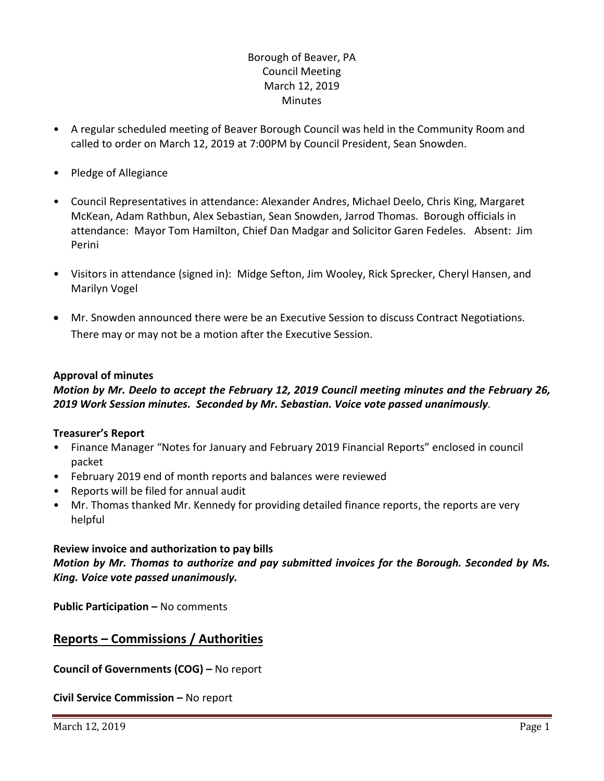# Borough of Beaver, PA Council Meeting March 12, 2019 **Minutes**

- A regular scheduled meeting of Beaver Borough Council was held in the Community Room and called to order on March 12, 2019 at 7:00PM by Council President, Sean Snowden.
- Pledge of Allegiance
- Council Representatives in attendance: Alexander Andres, Michael Deelo, Chris King, Margaret McKean, Adam Rathbun, Alex Sebastian, Sean Snowden, Jarrod Thomas. Borough officials in attendance: Mayor Tom Hamilton, Chief Dan Madgar and Solicitor Garen Fedeles. Absent: Jim Perini
- Visitors in attendance (signed in): Midge Sefton, Jim Wooley, Rick Sprecker, Cheryl Hansen, and Marilyn Vogel
- Mr. Snowden announced there were be an Executive Session to discuss Contract Negotiations. There may or may not be a motion after the Executive Session.

### **Approval of minutes**

## *Motion by Mr. Deelo to accept the February 12, 2019 Council meeting minutes and the February 26, 2019 Work Session minutes. Seconded by Mr. Sebastian. Voice vote passed unanimously.*

#### **Treasurer's Report**

- Finance Manager "Notes for January and February 2019 Financial Reports" enclosed in council packet
- February 2019 end of month reports and balances were reviewed
- Reports will be filed for annual audit
- Mr. Thomas thanked Mr. Kennedy for providing detailed finance reports, the reports are very helpful

## **Review invoice and authorization to pay bills**

*Motion by Mr. Thomas to authorize and pay submitted invoices for the Borough. Seconded by Ms. King. Voice vote passed unanimously.*

**Public Participation –** No comments

# **Reports – Commissions / Authorities**

**Council of Governments (COG) –** No report

**Civil Service Commission –** No report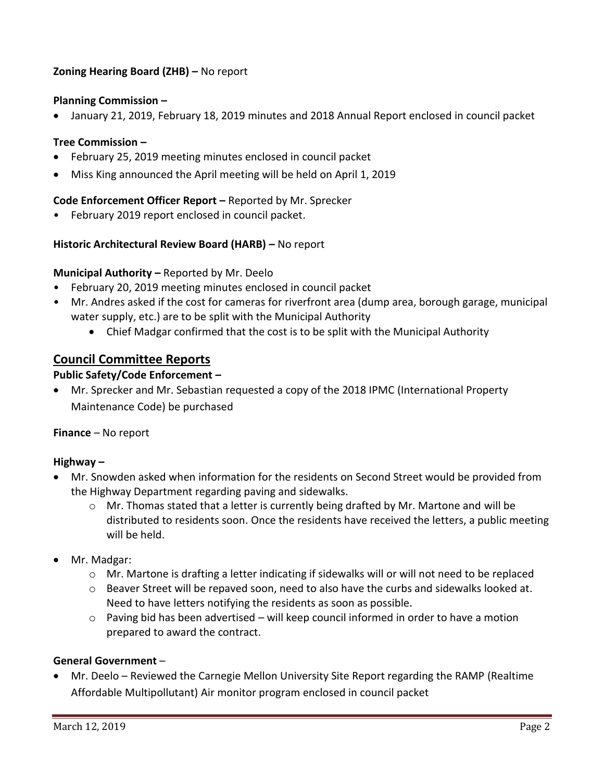## **Zoning Hearing Board (ZHB) –** No report

### **Planning Commission –**

January 21, 2019, February 18, 2019 minutes and 2018 Annual Report enclosed in council packet

#### **Tree Commission –**

- February 25, 2019 meeting minutes enclosed in council packet
- Miss King announced the April meeting will be held on April 1, 2019

#### **Code Enforcement Officer Report –** Reported by Mr. Sprecker

• February 2019 report enclosed in council packet.

### **Historic Architectural Review Board (HARB) –** No report

#### **Municipal Authority –** Reported by Mr. Deelo

- February 20, 2019 meeting minutes enclosed in council packet
- Mr. Andres asked if the cost for cameras for riverfront area (dump area, borough garage, municipal water supply, etc.) are to be split with the Municipal Authority
	- Chief Madgar confirmed that the cost is to be split with the Municipal Authority

# **Council Committee Reports**

### **Public Safety/Code Enforcement –**

 Mr. Sprecker and Mr. Sebastian requested a copy of the 2018 IPMC (International Property Maintenance Code) be purchased

#### **Finance** – No report

#### **Highway –**

- Mr. Snowden asked when information for the residents on Second Street would be provided from the Highway Department regarding paving and sidewalks.
	- $\circ$  Mr. Thomas stated that a letter is currently being drafted by Mr. Martone and will be distributed to residents soon. Once the residents have received the letters, a public meeting will be held.
- Mr. Madgar:
	- $\circ$  Mr. Martone is drafting a letter indicating if sidewalks will or will not need to be replaced
	- $\circ$  Beaver Street will be repaved soon, need to also have the curbs and sidewalks looked at. Need to have letters notifying the residents as soon as possible.
	- o Paving bid has been advertised will keep council informed in order to have a motion prepared to award the contract.

#### **General Government** –

 Mr. Deelo – Reviewed the Carnegie Mellon University Site Report regarding the RAMP (Realtime Affordable Multipollutant) Air monitor program enclosed in council packet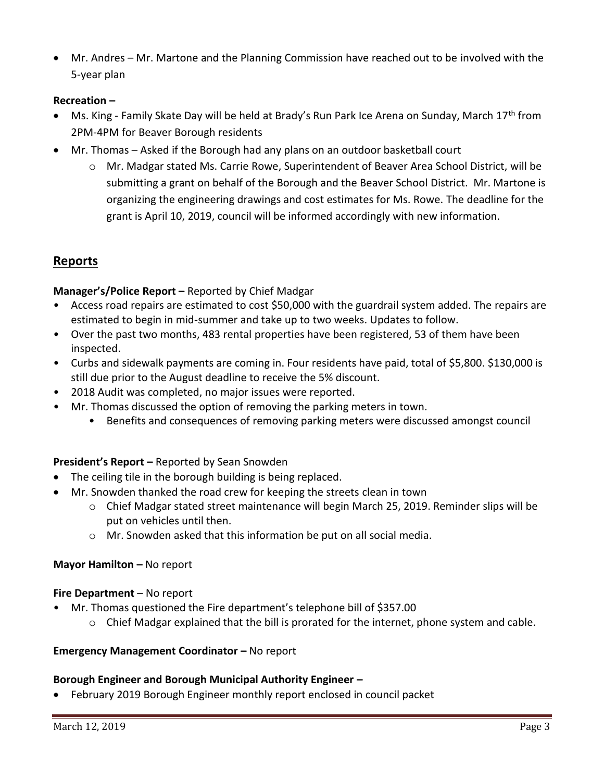Mr. Andres – Mr. Martone and the Planning Commission have reached out to be involved with the 5-year plan

## **Recreation –**

- Ms. King Family Skate Day will be held at Brady's Run Park Ice Arena on Sunday, March 17<sup>th</sup> from 2PM-4PM for Beaver Borough residents
- Mr. Thomas Asked if the Borough had any plans on an outdoor basketball court
	- o Mr. Madgar stated Ms. Carrie Rowe, Superintendent of Beaver Area School District, will be submitting a grant on behalf of the Borough and the Beaver School District. Mr. Martone is organizing the engineering drawings and cost estimates for Ms. Rowe. The deadline for the grant is April 10, 2019, council will be informed accordingly with new information.

# **Reports**

### **Manager's/Police Report –** Reported by Chief Madgar

- Access road repairs are estimated to cost \$50,000 with the guardrail system added. The repairs are estimated to begin in mid-summer and take up to two weeks. Updates to follow.
- Over the past two months, 483 rental properties have been registered, 53 of them have been inspected.
- Curbs and sidewalk payments are coming in. Four residents have paid, total of \$5,800. \$130,000 is still due prior to the August deadline to receive the 5% discount.
- 2018 Audit was completed, no major issues were reported.
- Mr. Thomas discussed the option of removing the parking meters in town.
	- Benefits and consequences of removing parking meters were discussed amongst council

#### **President's Report –** Reported by Sean Snowden

- The ceiling tile in the borough building is being replaced.
- Mr. Snowden thanked the road crew for keeping the streets clean in town
	- $\circ$  Chief Madgar stated street maintenance will begin March 25, 2019. Reminder slips will be put on vehicles until then.
	- o Mr. Snowden asked that this information be put on all social media.

#### **Mayor Hamilton – No report**

#### **Fire Department** – No report

- Mr. Thomas questioned the Fire department's telephone bill of \$357.00
	- $\circ$  Chief Madgar explained that the bill is prorated for the internet, phone system and cable.

#### **Emergency Management Coordinator - No report**

# **Borough Engineer and Borough Municipal Authority Engineer –**

February 2019 Borough Engineer monthly report enclosed in council packet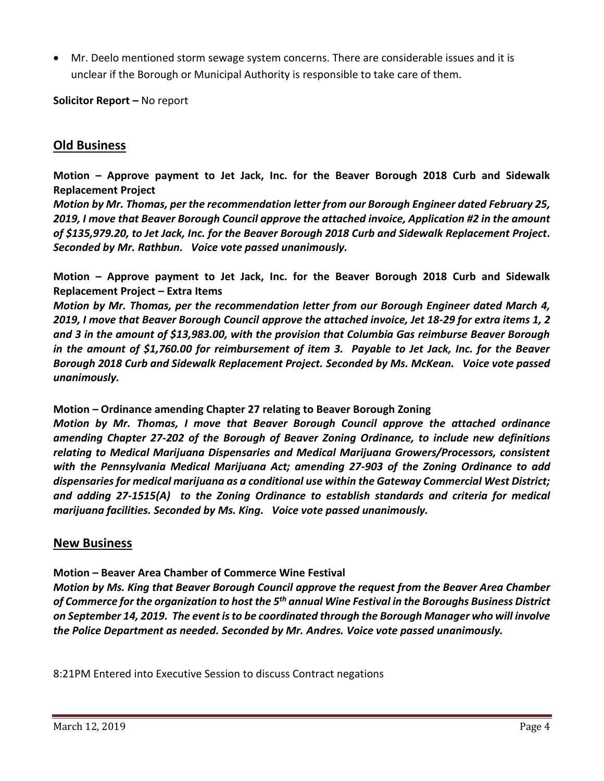Mr. Deelo mentioned storm sewage system concerns. There are considerable issues and it is unclear if the Borough or Municipal Authority is responsible to take care of them.

**Solicitor Report –** No report

# **Old Business**

**Motion – Approve payment to Jet Jack, Inc. for the Beaver Borough 2018 Curb and Sidewalk Replacement Project**

*Motion by Mr. Thomas, per the recommendation letter from our Borough Engineer dated February 25, 2019, I move that Beaver Borough Council approve the attached invoice, Application #2 in the amount of \$135,979.20, to Jet Jack, Inc. for the Beaver Borough 2018 Curb and Sidewalk Replacement Project. Seconded by Mr. Rathbun. Voice vote passed unanimously.* 

**Motion – Approve payment to Jet Jack, Inc. for the Beaver Borough 2018 Curb and Sidewalk Replacement Project – Extra Items**

*Motion by Mr. Thomas, per the recommendation letter from our Borough Engineer dated March 4, 2019, I move that Beaver Borough Council approve the attached invoice, Jet 18-29 for extra items 1, 2 and 3 in the amount of \$13,983.00, with the provision that Columbia Gas reimburse Beaver Borough in the amount of \$1,760.00 for reimbursement of item 3. Payable to Jet Jack, Inc. for the Beaver Borough 2018 Curb and Sidewalk Replacement Project. Seconded by Ms. McKean. Voice vote passed unanimously.* 

#### **Motion – Ordinance amending Chapter 27 relating to Beaver Borough Zoning**

*Motion by Mr. Thomas, I move that Beaver Borough Council approve the attached ordinance amending Chapter 27-202 of the Borough of Beaver Zoning Ordinance, to include new definitions relating to Medical Marijuana Dispensaries and Medical Marijuana Growers/Processors, consistent with the Pennsylvania Medical Marijuana Act; amending 27-903 of the Zoning Ordinance to add dispensaries for medical marijuana as a conditional use within the Gateway Commercial West District; and adding 27-1515(A) to the Zoning Ordinance to establish standards and criteria for medical marijuana facilities. Seconded by Ms. King. Voice vote passed unanimously.* 

## **New Business**

#### **Motion – Beaver Area Chamber of Commerce Wine Festival**

*Motion by Ms. King that Beaver Borough Council approve the request from the Beaver Area Chamber of Commerce for the organization to host the 5th annual Wine Festival in the Boroughs Business District on September 14, 2019. The event is to be coordinated through the Borough Manager who will involve the Police Department as needed. Seconded by Mr. Andres. Voice vote passed unanimously.*

8:21PM Entered into Executive Session to discuss Contract negations